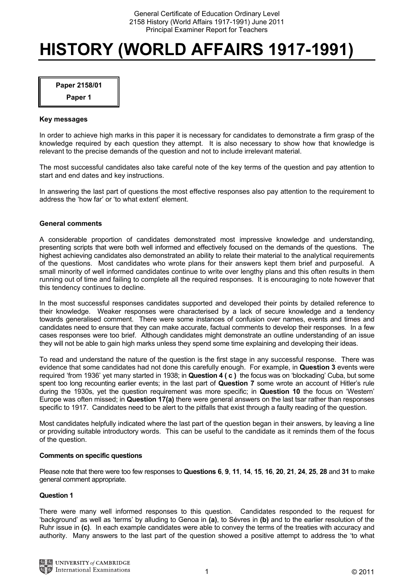# **HISTORY (WORLD AFFAIRS 1917-1991)**

**Paper 2158/01** 

**Paper 1** 

## **Key messages**

In order to achieve high marks in this paper it is necessary for candidates to demonstrate a firm grasp of the knowledge required by each question they attempt. It is also necessary to show how that knowledge is relevant to the precise demands of the question and not to include irrelevant material.

The most successful candidates also take careful note of the key terms of the question and pay attention to start and end dates and key instructions.

In answering the last part of questions the most effective responses also pay attention to the requirement to address the 'how far' or 'to what extent' element.

## **General comments**

A considerable proportion of candidates demonstrated most impressive knowledge and understanding, presenting scripts that were both well informed and effectively focused on the demands of the questions. The highest achieving candidates also demonstrated an ability to relate their material to the analytical requirements of the questions. Most candidates who wrote plans for their answers kept them brief and purposeful. A small minority of well informed candidates continue to write over lengthy plans and this often results in them running out of time and failing to complete all the required responses. It is encouraging to note however that this tendency continues to decline.

In the most successful responses candidates supported and developed their points by detailed reference to their knowledge. Weaker responses were characterised by a lack of secure knowledge and a tendency towards generalised comment. There were some instances of confusion over names, events and times and candidates need to ensure that they can make accurate, factual comments to develop their responses. In a few cases responses were too brief. Although candidates might demonstrate an outline understanding of an issue they will not be able to gain high marks unless they spend some time explaining and developing their ideas.

To read and understand the nature of the question is the first stage in any successful response. There was evidence that some candidates had not done this carefully enough. For example, in **Question 3** events were required 'from 1936' yet many started in 1938; in **Question 4 ( c )** the focus was on 'blockading' Cuba, but some spent too long recounting earlier events; in the last part of **Question 7** some wrote an account of Hitler's rule during the 1930s, yet the question requirement was more specific; in **Question 10** the focus on 'Western' Europe was often missed; in **Question 17(a)** there were general answers on the last tsar rather than responses specific to 1917. Candidates need to be alert to the pitfalls that exist through a faulty reading of the question.

Most candidates helpfully indicated where the last part of the question began in their answers, by leaving a line or providing suitable introductory words. This can be useful to the candidate as it reminds them of the focus of the question.

## **Comments on specific questions**

Please note that there were too few responses to **Questions 6**, **9**, **11**, **14**, **15**, **16**, **20**, **21**, **24**, **25**, **28** and **31** to make general comment appropriate.

## **Question 1**

There were many well informed responses to this question. Candidates responded to the request for 'background' as well as 'terms' by alluding to Genoa in **(a)**, to Sévres in **(b)** and to the earlier resolution of the Ruhr issue in **(c)**. In each example candidates were able to convey the terms of the treaties with accuracy and authority. Many answers to the last part of the question showed a positive attempt to address the 'to what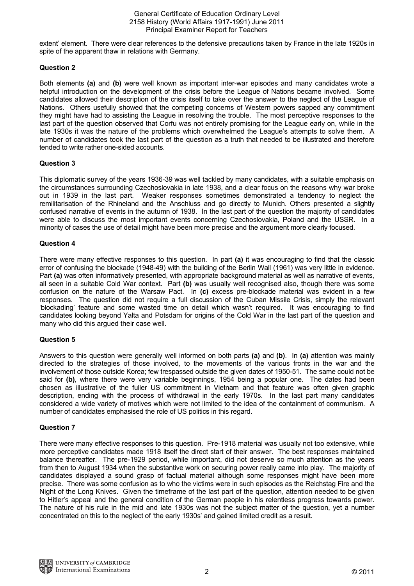General Certificate of Education Ordinary Level 2158 History (World Affairs 1917-1991) June 2011 Principal Examiner Report for Teachers

extent' element. There were clear references to the defensive precautions taken by France in the late 1920s in spite of the apparent thaw in relations with Germany.

# **Question 2**

Both elements **(a)** and **(b)** were well known as important inter-war episodes and many candidates wrote a helpful introduction on the development of the crisis before the League of Nations became involved. Some candidates allowed their description of the crisis itself to take over the answer to the neglect of the League of Nations. Others usefully showed that the competing concerns of Western powers sapped any commitment they might have had to assisting the League in resolving the trouble. The most perceptive responses to the last part of the question observed that Corfu was not entirely promising for the League early on, while in the late 1930s it was the nature of the problems which overwhelmed the League's attempts to solve them. A number of candidates took the last part of the question as a truth that needed to be illustrated and therefore tended to write rather one-sided accounts.

# **Question 3**

This diplomatic survey of the years 1936-39 was well tackled by many candidates, with a suitable emphasis on the circumstances surrounding Czechoslovakia in late 1938, and a clear focus on the reasons why war broke out in 1939 in the last part. Weaker responses sometimes demonstrated a tendency to neglect the remilitarisation of the Rhineland and the Anschluss and go directly to Munich. Others presented a slightly confused narrative of events in the autumn of 1938. In the last part of the question the majority of candidates were able to discuss the most important events concerning Czechoslovakia, Poland and the USSR. In a minority of cases the use of detail might have been more precise and the argument more clearly focused.

# **Question 4**

There were many effective responses to this question. In part **(a)** it was encouraging to find that the classic error of confusing the blockade (1948-49) with the building of the Berlin Wall (1961) was very little in evidence. Part **(a)** was often informatively presented, with appropriate background material as well as narrative of events, all seen in a suitable Cold War context. Part **(b)** was usually well recognised also, though there was some confusion on the nature of the Warsaw Pact. In **(c)** excess pre-blockade material was evident in a few responses. The question did not require a full discussion of the Cuban Missile Crisis, simply the relevant 'blockading' feature and some wasted time on detail which wasn't required. It was encouraging to find candidates looking beyond Yalta and Potsdam for origins of the Cold War in the last part of the question and many who did this argued their case well.

# **Question 5**

Answers to this question were generally well informed on both parts **(a)** and **(b)**. In **(a)** attention was mainly directed to the strategies of those involved, to the movements of the various fronts in the war and the involvement of those outside Korea; few trespassed outside the given dates of 1950-51. The same could not be said for **(b)**, where there were very variable beginnings, 1954 being a popular one. The dates had been chosen as illustrative of the fuller US commitment in Vietnam and that feature was often given graphic description, ending with the process of withdrawal in the early 1970s. In the last part many candidates considered a wide variety of motives which were not limited to the idea of the containment of communism. A number of candidates emphasised the role of US politics in this regard.

# **Question 7**

There were many effective responses to this question. Pre-1918 material was usually not too extensive, while more perceptive candidates made 1918 itself the direct start of their answer. The best responses maintained balance thereafter. The pre-1929 period, while important, did not deserve so much attention as the years from then to August 1934 when the substantive work on securing power really came into play. The majority of candidates displayed a sound grasp of factual material although some responses might have been more precise. There was some confusion as to who the victims were in such episodes as the Reichstag Fire and the Night of the Long Knives. Given the timeframe of the last part of the question, attention needed to be given to Hitler's appeal and the general condition of the German people in his relentless progress towards power. The nature of his rule in the mid and late 1930s was not the subject matter of the question, yet a number concentrated on this to the neglect of 'the early 1930s' and gained limited credit as a result.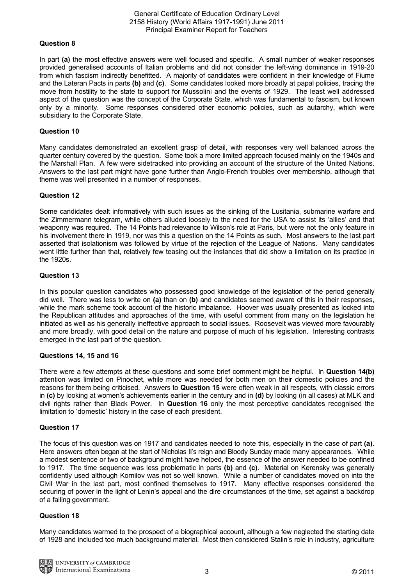## General Certificate of Education Ordinary Level 2158 History (World Affairs 1917-1991) June 2011 Principal Examiner Report for Teachers

# **Question 8**

In part **(a)** the most effective answers were well focused and specific. A small number of weaker responses provided generalised accounts of Italian problems and did not consider the left-wing dominance in 1919-20 from which fascism indirectly benefitted. A majority of candidates were confident in their knowledge of Fiume and the Lateran Pacts in parts **(b)** and **(c)**. Some candidates looked more broadly at papal policies, tracing the move from hostility to the state to support for Mussolini and the events of 1929. The least well addressed aspect of the question was the concept of the Corporate State, which was fundamental to fascism, but known only by a minority. Some responses considered other economic policies, such as autarchy, which were subsidiary to the Corporate State.

## **Question 10**

Many candidates demonstrated an excellent grasp of detail, with responses very well balanced across the quarter century covered by the question. Some took a more limited approach focused mainly on the 1940s and the Marshall Plan. A few were sidetracked into providing an account of the structure of the United Nations. Answers to the last part might have gone further than Anglo-French troubles over membership, although that theme was well presented in a number of responses.

## **Question 12**

Some candidates dealt informatively with such issues as the sinking of the Lusitania, submarine warfare and the Zimmermann telegram, while others alluded loosely to the need for the USA to assist its 'allies' and that weaponry was required. The 14 Points had relevance to Wilson's role at Paris, but were not the only feature in his involvement there in 1919, nor was this a question on the 14 Points as such. Most answers to the last part asserted that isolationism was followed by virtue of the rejection of the League of Nations. Many candidates went little further than that, relatively few teasing out the instances that did show a limitation on its practice in the 1920s.

## **Question 13**

In this popular question candidates who possessed good knowledge of the legislation of the period generally did well. There was less to write on **(a)** than on **(b)** and candidates seemed aware of this in their responses, while the mark scheme took account of the historic imbalance. Hoover was usually presented as locked into the Republican attitudes and approaches of the time, with useful comment from many on the legislation he initiated as well as his generally ineffective approach to social issues. Roosevelt was viewed more favourably and more broadly, with good detail on the nature and purpose of much of his legislation. Interesting contrasts emerged in the last part of the question.

## **Questions 14, 15 and 16**

There were a few attempts at these questions and some brief comment might be helpful. In **Question 14(b)** attention was limited on Pinochet, while more was needed for both men on their domestic policies and the reasons for them being criticised. Answers to **Question 15** were often weak in all respects, with classic errors in **(c)** by looking at women's achievements earlier in the century and in **(d)** by looking (in all cases) at MLK and civil rights rather than Black Power. In **Question 16** only the most perceptive candidates recognised the limitation to 'domestic' history in the case of each president.

# **Question 17**

The focus of this question was on 1917 and candidates needed to note this, especially in the case of part **(a)**. Here answers often began at the start of Nicholas II's reign and Bloody Sunday made many appearances. While a modest sentence or two of background might have helped, the essence of the answer needed to be confined to 1917. The time sequence was less problematic in parts **(b)** and **(c)**. Material on Kerensky was generally confidently used although Kornilov was not so well known. While a number of candidates moved on into the Civil War in the last part, most confined themselves to 1917. Many effective responses considered the securing of power in the light of Lenin's appeal and the dire circumstances of the time, set against a backdrop of a failing government.

## **Question 18**

Many candidates warmed to the prospect of a biographical account, although a few neglected the starting date of 1928 and included too much background material. Most then considered Stalin's role in industry, agriculture